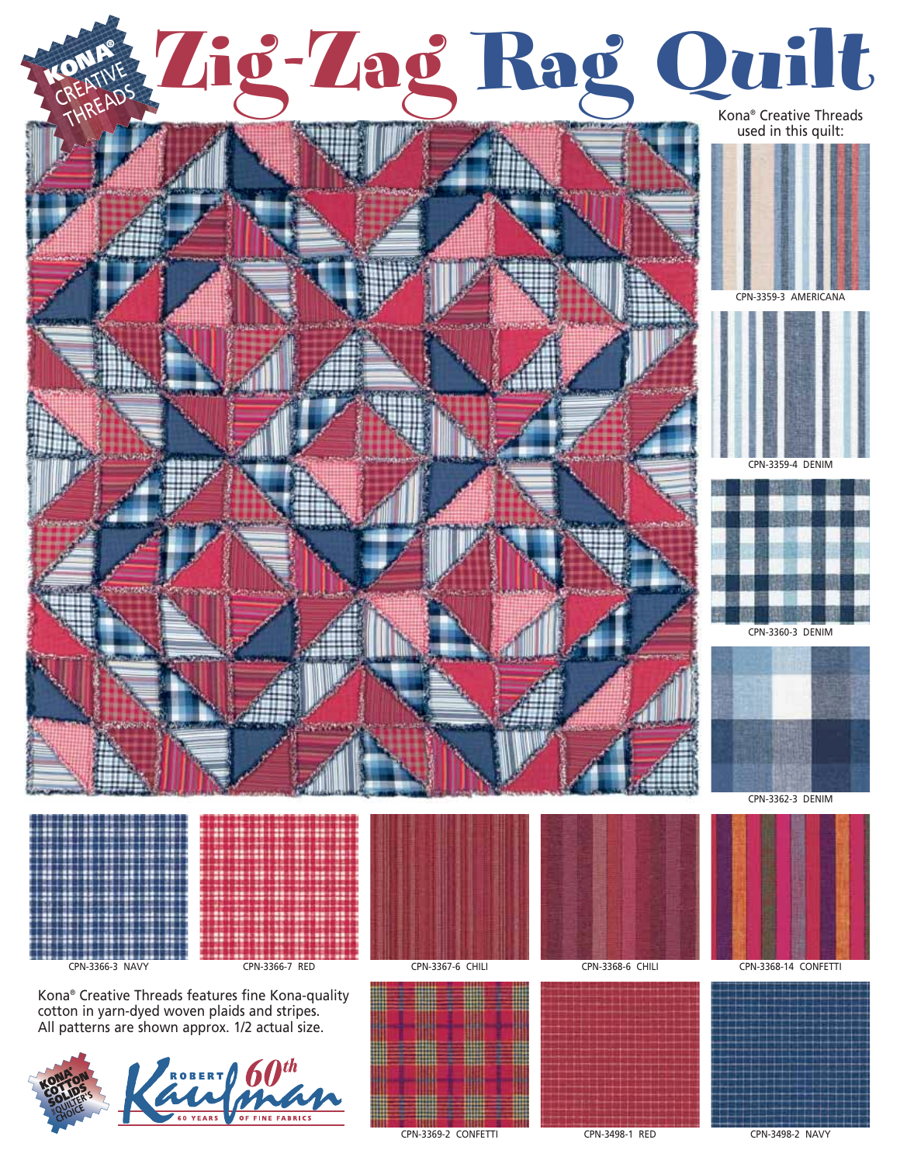